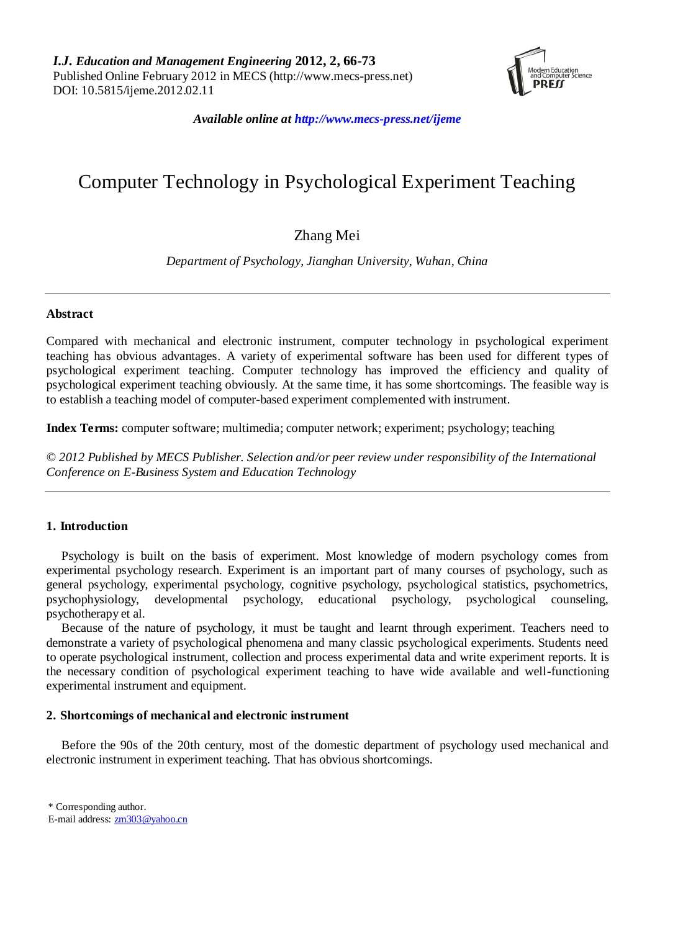

*Available online at http://www.mecs-press.net/ijeme*

# Computer Technology in Psychological Experiment Teaching

## Zhang Mei

*Department of Psychology, Jianghan University, Wuhan, China* 

## **Abstract**

Compared with mechanical and electronic instrument, computer technology in psychological experiment teaching has obvious advantages. A variety of experimental software has been used for different types of psychological experiment teaching. Computer technology has improved the efficiency and quality of psychological experiment teaching obviously. At the same time, it has some shortcomings. The feasible way is to establish a teaching model of computer-based experiment complemented with instrument.

**Index Terms:** computer software; multimedia; computer network; experiment; psychology; teaching

*© 2012 Published by MECS Publisher. Selection and/or peer review under responsibility of the International Conference on E-Business System and Education Technology*

## **1. Introduction**

Psychology is built on the basis of experiment. Most knowledge of modern psychology comes from experimental psychology research. Experiment is an important part of many courses of psychology, such as general psychology, experimental psychology, cognitive psychology, psychological statistics, psychometrics, psychophysiology, developmental psychology, educational psychology, psychological counseling, psychotherapy et al.

Because of the nature of psychology, it must be taught and learnt through experiment. Teachers need to demonstrate a variety of psychological phenomena and many classic psychological experiments. Students need to operate psychological instrument, collection and process experimental data and write experiment reports. It is the necessary condition of psychological experiment teaching to have wide available and well-functioning experimental instrument and equipment.

## **2. Shortcomings of mechanical and electronic instrument**

Before the 90s of the 20th century, most of the domestic department of psychology used mechanical and electronic instrument in experiment teaching. That has obvious shortcomings.

\* Corresponding author.

E-mail address: [zm303@yahoo.cn](mailto:zm303@yahoo.cn)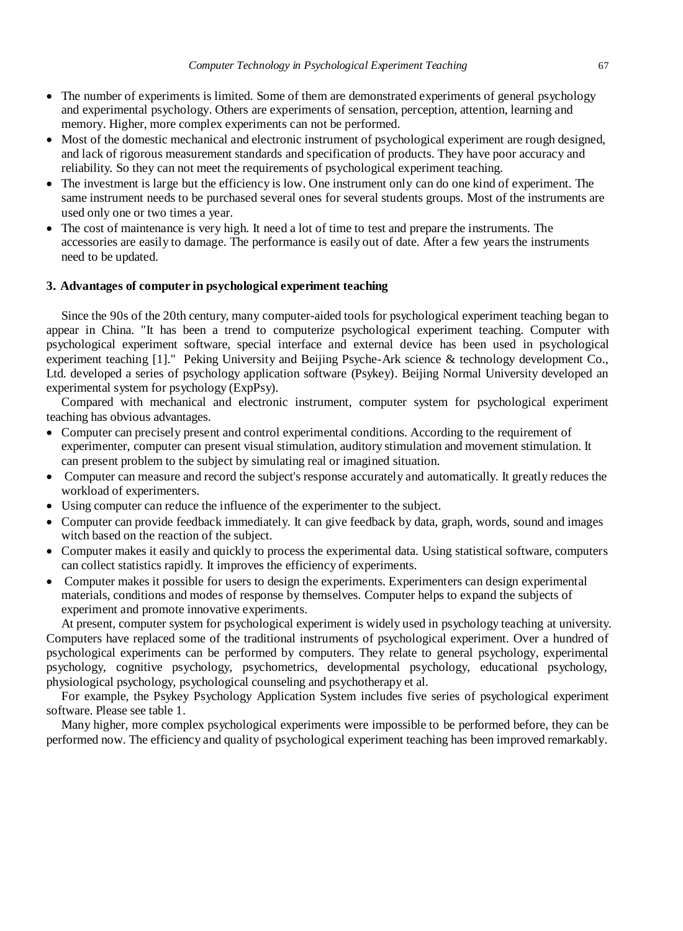- The number of experiments is limited. Some of them are demonstrated experiments of general psychology and experimental psychology. Others are experiments of sensation, perception, attention, learning and memory. Higher, more complex experiments can not be performed.
- Most of the domestic mechanical and electronic instrument of psychological experiment are rough designed, and lack of rigorous measurement standards and specification of products. They have poor accuracy and reliability. So they can not meet the requirements of psychological experiment teaching.
- The investment is large but the efficiency is low. One instrument only can do one kind of experiment. The same instrument needs to be purchased several ones for several students groups. Most of the instruments are used only one or two times a year.
- The cost of maintenance is very high. It need a lot of time to test and prepare the instruments. The accessories are easily to damage. The performance is easily out of date. After a few years the instruments need to be updated.

## **3. Advantages of computer in psychological experiment teaching**

Since the 90s of the 20th century, many computer-aided tools for psychological experiment teaching began to appear in China. "It has been a trend to computerize psychological experiment teaching. Computer with psychological experiment software, special interface and external device has been used in psychological experiment teaching [1]." Peking University and Beijing Psyche-Ark science & technology development Co., Ltd. developed a series of psychology application software (Psykey). Beijing Normal University developed an experimental system for psychology (ExpPsy).

Compared with mechanical and electronic instrument, computer system for psychological experiment teaching has obvious advantages.

- Computer can precisely present and control experimental conditions. According to the requirement of experimenter, computer can present visual stimulation, auditory stimulation and movement stimulation. It can present problem to the subject by simulating real or imagined situation.
- Computer can measure and record the subject's response accurately and automatically. It greatly reduces the workload of experimenters.
- Using computer can reduce the influence of the experimenter to the subject.
- Computer can provide feedback immediately. It can give feedback by data, graph, words, sound and images witch based on the reaction of the subject.
- Computer makes it easily and quickly to process the experimental data. Using statistical software, computers can collect statistics rapidly. It improves the efficiency of experiments.
- Computer makes it possible for users to design the experiments. Experimenters can design experimental materials, conditions and modes of response by themselves. Computer helps to expand the subjects of experiment and promote innovative experiments.

At present, computer system for psychological experiment is widely used in psychology teaching at university. Computers have replaced some of the traditional instruments of psychological experiment. Over a hundred of psychological experiments can be performed by computers. They relate to general psychology, experimental psychology, cognitive psychology, psychometrics, developmental psychology, educational psychology, physiological psychology, psychological counseling and psychotherapy et al.

For example, the Psykey Psychology Application System includes five series of psychological experiment software. Please see table 1.

Many higher, more complex psychological experiments were impossible to be performed before, they can be performed now. The efficiency and quality of psychological experiment teaching has been improved remarkably.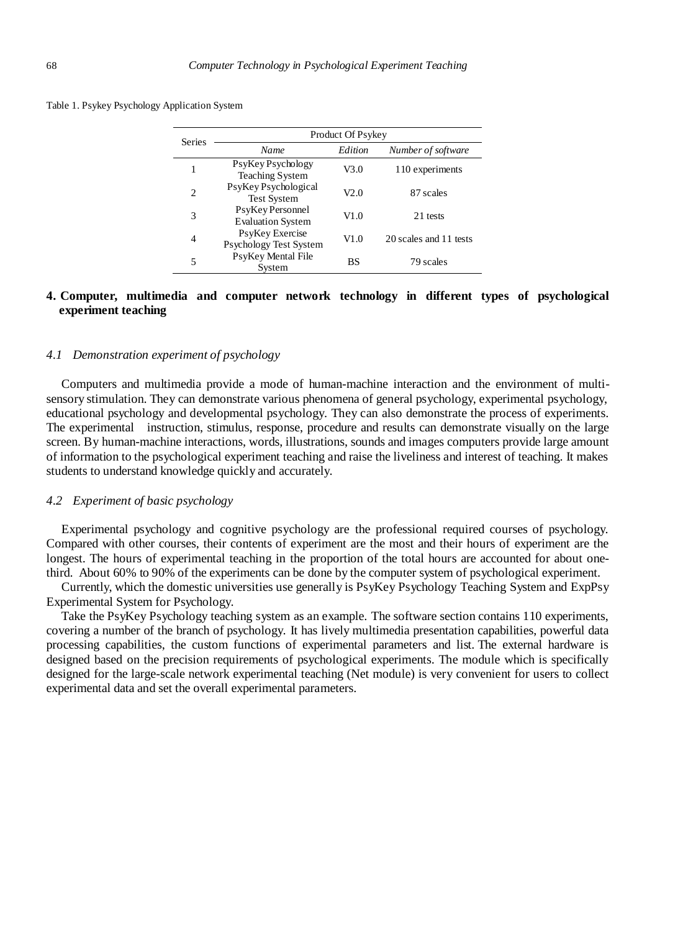|  |  |  | Table 1. Psykey Psychology Application System |  |
|--|--|--|-----------------------------------------------|--|
|--|--|--|-----------------------------------------------|--|

| <b>Series</b> | Product Of Psykey                            |           |                        |  |
|---------------|----------------------------------------------|-----------|------------------------|--|
|               | Name                                         | Edition   | Number of software     |  |
|               | PsyKey Psychology<br><b>Teaching System</b>  | V3.0      | 110 experiments        |  |
| $\mathcal{D}$ | PsyKey Psychological<br><b>Test System</b>   | V2 0      | 87 scales              |  |
| 3             | PsyKey Personnel<br><b>Evaluation System</b> | V1.0      | 21 tests               |  |
| 4             | PsyKey Exercise<br>Psychology Test System    | V1.0      | 20 scales and 11 tests |  |
| 5             | PsyKey Mental File<br>System                 | <b>BS</b> | 79 scales              |  |

## **4. Computer, multimedia and computer network technology in different types of psychological experiment teaching**

## *4.1 Demonstration experiment of psychology*

Computers and multimedia provide a mode of human-machine interaction and the environment of multisensory stimulation. They can demonstrate various phenomena of general psychology, experimental psychology, educational psychology and developmental psychology. They can also demonstrate the process of experiments. The experimental instruction, stimulus, response, procedure and results can demonstrate visually on the large screen. By human-machine interactions, words, illustrations, sounds and images computers provide large amount of information to the psychological experiment teaching and raise the liveliness and interest of teaching. It makes students to understand knowledge quickly and accurately.

#### *4.2 Experiment of basic psychology*

Experimental psychology and cognitive psychology are the professional required courses of psychology. Compared with other courses, their contents of experiment are the most and their hours of experiment are the longest. The hours of experimental teaching in the proportion of the total hours are accounted for about onethird. About 60% to 90% of the experiments can be done by the computer system of psychological experiment.

Currently, which the domestic universities use generally is PsyKey Psychology Teaching System and ExpPsy Experimental System for Psychology.

Take the PsyKey Psychology teaching system as an example. The software section contains 110 experiments, covering a number of the branch of psychology. It has lively multimedia presentation capabilities, powerful data processing capabilities, the custom functions of experimental parameters and list. The external hardware is designed based on the precision requirements of psychological experiments. The module which is specifically designed for the large-scale network experimental teaching (Net module) is very convenient for users to collect experimental data and set the overall experimental parameters.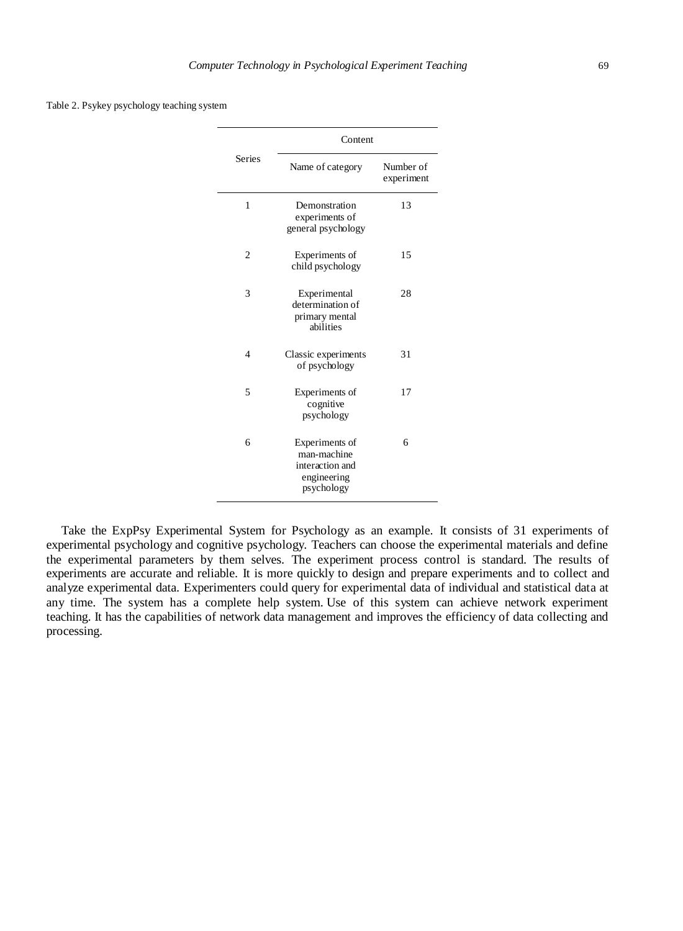Table 2. Psykey psychology teaching system

|                | Content                                                                       |                         |  |
|----------------|-------------------------------------------------------------------------------|-------------------------|--|
| <b>Series</b>  | Name of category                                                              | Number of<br>experiment |  |
| 1              | Demonstration<br>experiments of<br>general psychology                         | 13                      |  |
| $\overline{2}$ | Experiments of<br>child psychology                                            | 15                      |  |
| 3              | Experimental<br>determination of<br>primary mental<br>abilities               | 28                      |  |
| $\overline{4}$ | Classic experiments<br>of psychology                                          | 31                      |  |
| 5              | Experiments of<br>cognitive<br>psychology                                     | 17                      |  |
| 6              | Experiments of<br>man-machine<br>interaction and<br>engineering<br>psychology | 6                       |  |

Take the ExpPsy Experimental System for Psychology as an example. It consists of 31 experiments of experimental psychology and cognitive psychology. Teachers can choose the experimental materials and define the experimental parameters by them selves. The experiment process control is standard. The results of experiments are accurate and reliable. It is more quickly to design and prepare experiments and to collect and analyze experimental data. Experimenters could query for experimental data of individual and statistical data at any time. The system has a complete help system. Use of this system can achieve network experiment teaching. It has the capabilities of network data management and improves the efficiency of data collecting and processing.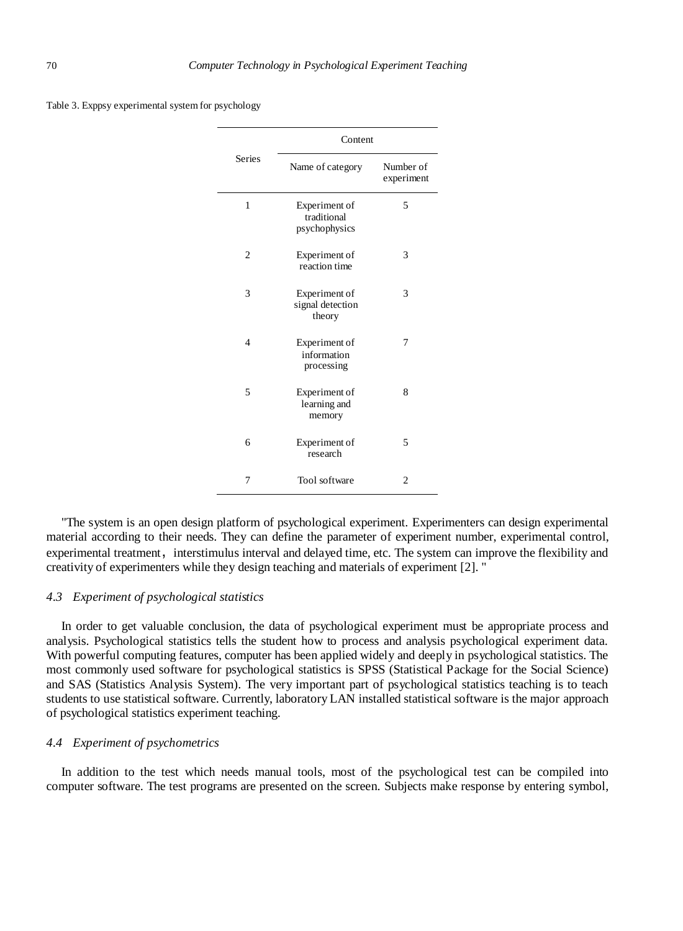|                | Content                                       |                         |  |
|----------------|-----------------------------------------------|-------------------------|--|
| <b>Series</b>  | Name of category                              | Number of<br>experiment |  |
| 1              | Experiment of<br>traditional<br>psychophysics | 5                       |  |
| $\overline{c}$ | Experiment of<br>reaction time                | 3                       |  |
| 3              | Experiment of<br>signal detection<br>theory   | 3                       |  |
| $\overline{4}$ | Experiment of<br>information<br>processing    | 7                       |  |
| 5              | Experiment of<br>learning and<br>memory       | 8                       |  |
| 6              | Experiment of<br>research                     | 5                       |  |
| 7              | Tool software                                 | 2                       |  |

Table 3. Exppsy experimental system for psychology

"The system is an open design platform of psychological experiment. Experimenters can design experimental material according to their needs. They can define the parameter of experiment number, experimental control, experimental treatment, interstimulus interval and delayed time, etc. The system can improve the flexibility and creativity of experimenters while they design teaching and materials of experiment [2]. "

#### *4.3 Experiment of psychological statistics*

In order to get valuable conclusion, the data of psychological experiment must be appropriate process and analysis. Psychological statistics tells the student how to process and analysis psychological experiment data. With powerful computing features, computer has been applied widely and deeply in psychological statistics. The most commonly used software for psychological statistics is SPSS (Statistical Package for the Social Science) and SAS (Statistics Analysis System). The very important part of psychological statistics teaching is to teach students to use statistical software. Currently, laboratory LAN installed statistical software is the major approach of psychological statistics experiment teaching.

## *4.4 Experiment of psychometrics*

In addition to the test which needs manual tools, most of the psychological test can be compiled into computer software. The test programs are presented on the screen. Subjects make response by entering symbol,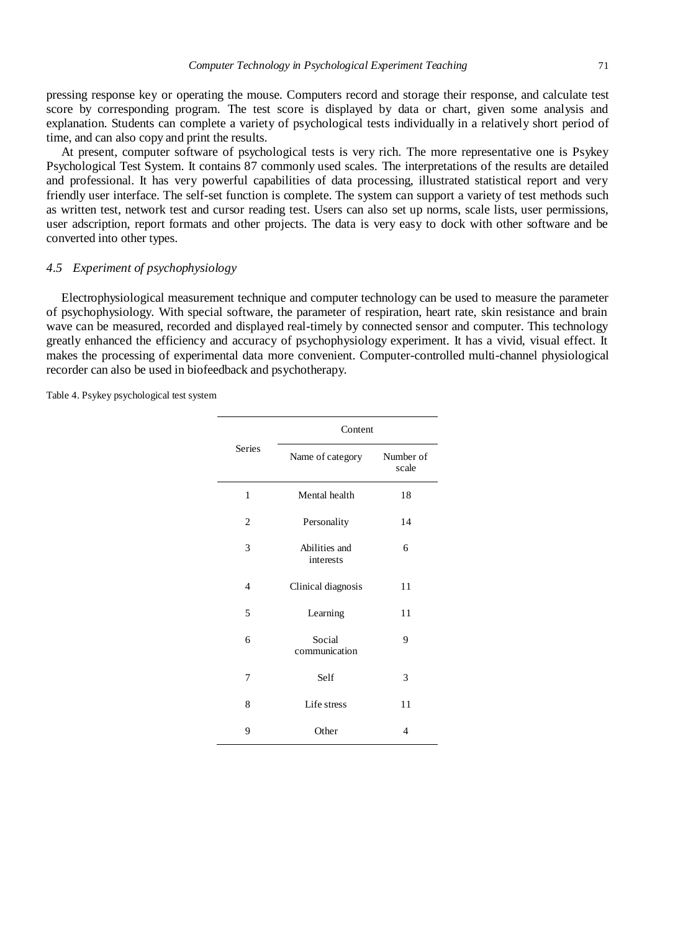pressing response key or operating the mouse. Computers record and storage their response, and calculate test score by corresponding program. The test score is displayed by data or chart, given some analysis and explanation. Students can complete a variety of psychological tests individually in a relatively short period of time, and can also copy and print the results.

At present, computer software of psychological tests is very rich. The more representative one is Psykey Psychological Test System. It contains 87 commonly used scales. The interpretations of the results are detailed and professional. It has very powerful capabilities of data processing, illustrated statistical report and very friendly user interface. The self-set function is complete. The system can support a variety of test methods such as written test, network test and cursor reading test. Users can also set up norms, scale lists, user permissions, user adscription, report formats and other projects. The data is very easy to dock with other software and be converted into other types.

#### *4.5 Experiment of psychophysiology*

Electrophysiological measurement technique and computer technology can be used to measure the parameter of psychophysiology. With special software, the parameter of respiration, heart rate, skin resistance and brain wave can be measured, recorded and displayed real-timely by connected sensor and computer. This technology greatly enhanced the efficiency and accuracy of psychophysiology experiment. It has a vivid, visual effect. It makes the processing of experimental data more convenient. Computer-controlled multi-channel physiological recorder can also be used in biofeedback and psychotherapy.

Table 4. Psykey psychological test system

|                | Content                    |                    |  |
|----------------|----------------------------|--------------------|--|
| <b>Series</b>  | Name of category           | Number of<br>scale |  |
| 1              | Mental health              | 18                 |  |
| $\overline{c}$ | Personality                | 14                 |  |
| 3              | Abilities and<br>interests | 6                  |  |
| $\overline{4}$ | Clinical diagnosis         | 11                 |  |
| 5              | Learning                   | 11                 |  |
| 6              | Social<br>communication    | 9                  |  |
| 7              | Self                       | 3                  |  |
| 8              | Life stress                | 11                 |  |
| 9              | Other                      | 4                  |  |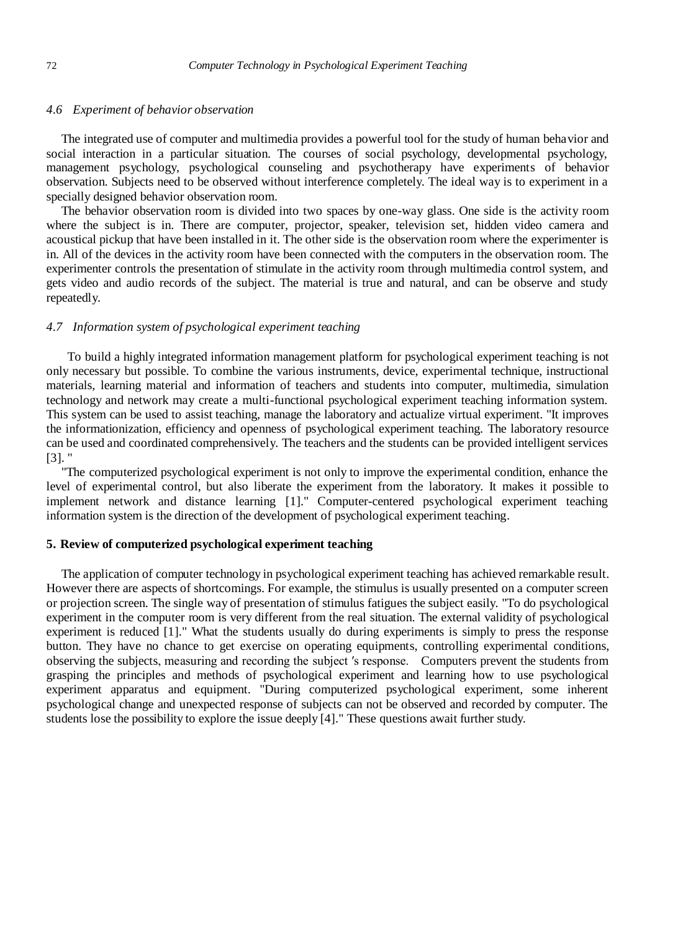## *4.6 Experiment of behavior observation*

The integrated use of computer and multimedia provides a powerful tool for the study of human behavior and social interaction in a particular situation. The courses of social psychology, developmental psychology, management psychology, psychological counseling and psychotherapy have experiments of behavior observation. Subjects need to be observed without interference completely. The ideal way is to experiment in a specially designed behavior observation room.

The behavior observation room is divided into two spaces by one-way glass. One side is the activity room where the subject is in. There are computer, projector, speaker, television set, hidden video camera and acoustical pickup that have been installed in it. The other side is the observation room where the experimenter is in. All of the devices in the activity room have been connected with the computers in the observation room. The experimenter controls the presentation of stimulate in the activity room through multimedia control system, and gets video and audio records of the subject. The material is true and natural, and can be observe and study repeatedly.

## *4.7 Information system of psychological experiment teaching*

 To build a highly integrated information management platform for psychological experiment teaching is not only necessary but possible. To combine the various instruments, device, experimental technique, instructional materials, learning material and information of teachers and students into computer, multimedia, simulation technology and network may create a multi-functional psychological experiment teaching information system. This system can be used to assist teaching, manage the laboratory and actualize virtual experiment. "It improves the informationization, efficiency and openness of psychological experiment teaching. The laboratory resource can be used and coordinated comprehensively. The teachers and the students can be provided intelligent services [3]. "

"The computerized psychological experiment is not only to improve the experimental condition, enhance the level of experimental control, but also liberate the experiment from the laboratory. It makes it possible to implement network and distance learning [1]." Computer-centered psychological experiment teaching information system is the direction of the development of psychological experiment teaching.

## **5. Review of computerized psychological experiment teaching**

The application of computer technology in psychological experiment teaching has achieved remarkable result. However there are aspects of shortcomings. For example, the stimulus is usually presented on a computer screen or projection screen. The single way of presentation of stimulus fatigues the subject easily. "To do psychological experiment in the computer room is very different from the real situation. The external validity of psychological experiment is reduced [1]." What the students usually do during experiments is simply to press the response button. They have no chance to get exercise on operating equipments, controlling experimental conditions, observing the subjects, measuring and recording the subject ′s response. Computers prevent the students from grasping the principles and methods of psychological experiment and learning how to use psychological experiment apparatus and equipment. "During computerized psychological experiment, some inherent psychological change and unexpected response of subjects can not be observed and recorded by computer. The students lose the possibility to explore the issue deeply [4]." These questions await further study.